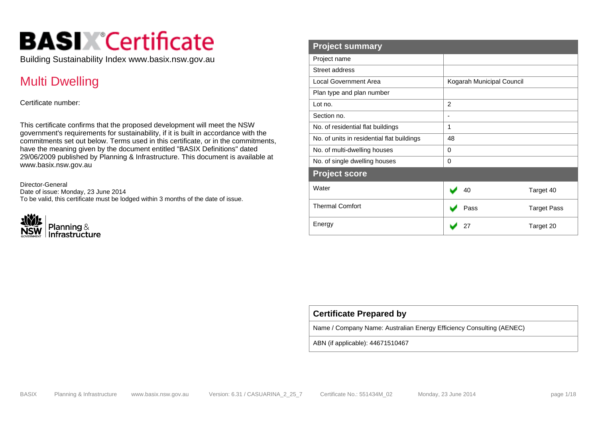# **BASIX**<sup>°</sup>Certificate

Building Sustainability Index www.basix.nsw.gov.au

# Multi Dwelling

Certificate number:

This certificate confirms that the proposed development will meet the NSW government's requirements for sustainability, if it is built in accordance with the commitments set out below. Terms used in this certificate, or in the commitments, have the meaning given by the document entitled "BASIX Definitions" dated 29/06/2009 published by Planning & Infrastructure. This document is available at www.basix.nsw.gov.au

Director-General Date of issue: Monday, 23 June 2014 To be valid, this certificate must be lodged within 3 months of the date of issue.



| <b>Project summary</b>                     |                            |
|--------------------------------------------|----------------------------|
| Project name                               |                            |
| Street address                             |                            |
| <b>Local Government Area</b>               | Kogarah Municipal Council  |
| Plan type and plan number                  |                            |
| Lot no.                                    | $\overline{2}$             |
| Section no.                                | $\overline{\phantom{a}}$   |
| No. of residential flat buildings          | 1                          |
| No. of units in residential flat buildings | 48                         |
| No. of multi-dwelling houses               | 0                          |
| No. of single dwelling houses              | 0                          |
| <b>Project score</b>                       |                            |
| Water                                      | 40<br>Target 40            |
| <b>Thermal Comfort</b>                     | Pass<br><b>Target Pass</b> |
| Energy                                     | 27<br>Target 20            |

Name / Company Name: Australian Energy Efficiency Consulting (AENEC)

ABN (if applicable): 44671510467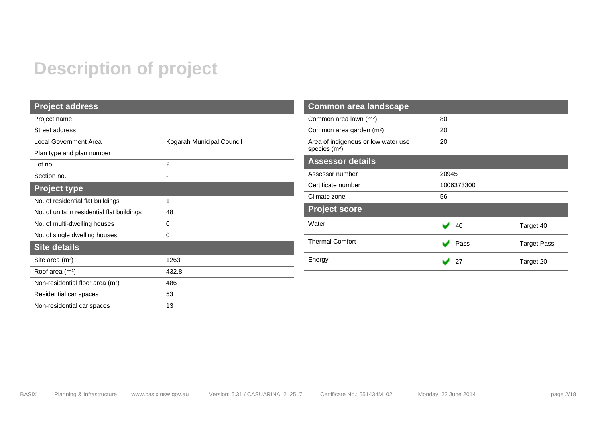# **Description of project**

### **Project address**

| Project name                                 |                           |  |  |  |  |  |
|----------------------------------------------|---------------------------|--|--|--|--|--|
| Street address                               |                           |  |  |  |  |  |
| Local Government Area                        | Kogarah Municipal Council |  |  |  |  |  |
| Plan type and plan number                    |                           |  |  |  |  |  |
| Lot no.                                      | 2                         |  |  |  |  |  |
| Section no.                                  | $\overline{\phantom{a}}$  |  |  |  |  |  |
| <b>Project type</b>                          |                           |  |  |  |  |  |
| No. of residential flat buildings            | 1                         |  |  |  |  |  |
| No. of units in residential flat buildings   | 48                        |  |  |  |  |  |
| No. of multi-dwelling houses                 | 0                         |  |  |  |  |  |
| No. of single dwelling houses                | 0                         |  |  |  |  |  |
| <b>Site details</b>                          |                           |  |  |  |  |  |
| Site area (m <sup>2</sup> )                  | 1263                      |  |  |  |  |  |
| Roof area (m <sup>2</sup> )                  | 432.8                     |  |  |  |  |  |
| Non-residential floor area (m <sup>2</sup> ) | 486                       |  |  |  |  |  |
| Residential car spaces                       | 53                        |  |  |  |  |  |
| Non-residential car spaces                   | 13                        |  |  |  |  |  |

| <b>Common area landscape</b>                                     |                            |
|------------------------------------------------------------------|----------------------------|
| Common area lawn (m <sup>2</sup> )                               | 80                         |
| Common area garden (m <sup>2</sup> )                             | 20                         |
| Area of indigenous or low water use<br>species (m <sup>2</sup> ) | 20                         |
| <b>Assessor details</b>                                          |                            |
| Assessor number                                                  | 20945                      |
| Certificate number                                               | 1006373300                 |
| Climate zone                                                     | 56                         |
| <b>Project score</b>                                             |                            |
| Water                                                            | Target 40<br>40            |
| <b>Thermal Comfort</b>                                           | <b>Target Pass</b><br>Pass |
| Energy                                                           | 27<br>Target 20            |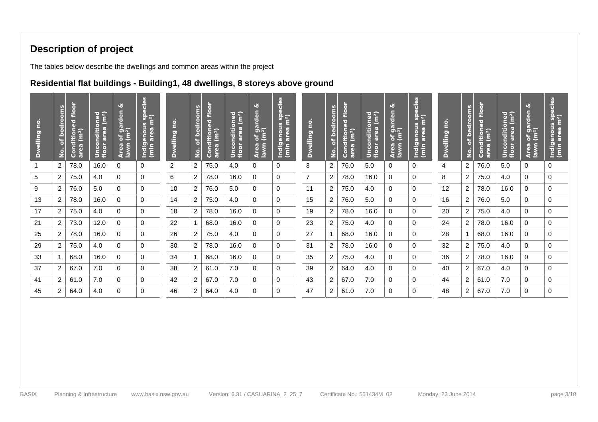# **Description of project**

The tables below describe the dwellings and common areas within the project

### **Residential flat buildings - Building1, 48 dwellings, 8 storeys above ground**

| $\bullet$<br>Ē<br><b>Dwelling</b> | oms<br>of bedro<br>$\frac{1}{2}$ | $\overleftarrow{\mathbf{o}}$<br>$\frac{8}{2}$<br><b>itioned</b><br>(m <sup>2</sup> )<br>To l<br>$\mathbf{a}$<br>Ξ.<br>$\overline{a}$<br>$\cup$ | Unconditioned<br>fl <u>o</u> or area (m <sup>2</sup> ) | ø<br>$\overline{\textbf{e}}$<br>of garde<br>(m <sup>2</sup> )<br>lawn<br>$\mathbf{a}$<br>É, | ecies<br>$\frac{5}{3}$<br>m <sup>2</sup> )<br>enous<br>area n<br>ndig<br>(min | $\overline{\mathbf{r}}$<br><b>Dwelling</b> | No. of bedrooms | Conditioned floor<br>area (m <sup>2</sup> )<br>area | nditioned<br>· area (m <sup>2</sup> )<br>$\overline{8}$ $\overline{5}$<br>ŏ.<br>$\frac{5}{2}$ $\frac{8}{5}$ | لانا<br>$\epsilon$<br>of gard<br>(m <sup>2</sup> )<br>Area<br>Iawn | dies<br>$\mathbf{d}$<br>$\sim$<br>$\frac{1}{2}$<br>uon<br>$\overline{a}$<br>a E<br>ō<br>lndig<br>(min | $\bullet$<br>Ē.<br><b>Dwelling</b> | of bedrooms<br>$\dot{\mathsf{S}}$ | $\overline{\mathbf{o}}$<br>$\epsilon$<br>ē<br>ਨ<br>ditioned<br>a (m <sup>2</sup> )<br>$\overline{\mathbf{S}}$<br>Οīπ | Unconditioned<br>floor area (m <sup>2</sup> ) | ھ<br>rden<br>of gai<br>(m <sup>2</sup> )<br>Area<br>Iawn | cies<br>$\mathbf{d}$<br>ดี<br>ด้า<br>m <sup>2</sup> )<br>enous<br>area m<br>indige<br>(min | $\bullet$<br>Е<br>$\bullet$<br><b>Dwellin</b> | of bedrooms<br>$\frac{1}{2}$ | floor<br>Conditioned<br>area (m <sup>2</sup> )<br>area | Unconditioned<br>floor area (m <sup>2</sup> ) | Ø<br>of garden<br>(m <sup>2</sup> )<br>Area<br>Iawn | <u>les</u><br>$\boldsymbol{\omega}$<br>$\frac{5}{2}$ ត្តិ៍<br><b>S</b><br>$\frac{1}{2}$ eal<br>Indig<br>(min |
|-----------------------------------|----------------------------------|------------------------------------------------------------------------------------------------------------------------------------------------|--------------------------------------------------------|---------------------------------------------------------------------------------------------|-------------------------------------------------------------------------------|--------------------------------------------|-----------------|-----------------------------------------------------|-------------------------------------------------------------------------------------------------------------|--------------------------------------------------------------------|-------------------------------------------------------------------------------------------------------|------------------------------------|-----------------------------------|----------------------------------------------------------------------------------------------------------------------|-----------------------------------------------|----------------------------------------------------------|--------------------------------------------------------------------------------------------|-----------------------------------------------|------------------------------|--------------------------------------------------------|-----------------------------------------------|-----------------------------------------------------|--------------------------------------------------------------------------------------------------------------|
|                                   | $\overline{2}$                   | 78.0                                                                                                                                           | 16.0                                                   | 0                                                                                           | 0                                                                             | $\overline{2}$                             | $\overline{2}$  | 75.0                                                | 4.0                                                                                                         | 0                                                                  | $\Omega$                                                                                              | 3                                  | $\overline{2}$                    | 76.0                                                                                                                 | 5.0                                           | 0                                                        | 0                                                                                          | 4                                             | $\overline{2}$               | 76.0                                                   | 5.0                                           | $\Omega$                                            | 0                                                                                                            |
| 5                                 | $\overline{2}$                   | 75.0                                                                                                                                           | 4.0                                                    | 0                                                                                           | 0                                                                             | 6                                          | $\overline{2}$  | 78.0                                                | 16.0                                                                                                        | 0                                                                  | $\Omega$                                                                                              | $\overline{7}$                     | 2                                 | 78.0                                                                                                                 | 16.0                                          | 0                                                        | 0                                                                                          | 8                                             | 2                            | 75.0                                                   | 4.0                                           | 0                                                   | 0                                                                                                            |
| 9                                 | $\overline{2}$                   | 76.0                                                                                                                                           | 5.0                                                    | 0                                                                                           | 0                                                                             | 10                                         | $\overline{2}$  | 76.0                                                | 5.0                                                                                                         | 0                                                                  | 0                                                                                                     | 11                                 | 2                                 | 75.0                                                                                                                 | 4.0                                           | 0                                                        | 0                                                                                          | 12                                            | 2                            | 78.0                                                   | 16.0                                          | 0                                                   | 0                                                                                                            |
| 13                                | 2                                | 78.0                                                                                                                                           | 16.0                                                   | 0                                                                                           | 0                                                                             | 14                                         | $\overline{2}$  | 75.0                                                | 4.0                                                                                                         | 0                                                                  | $\Omega$                                                                                              | 15                                 | 2                                 | 76.0                                                                                                                 | 5.0                                           | 0                                                        | 0                                                                                          | 16                                            | 2                            | 76.0                                                   | 5.0                                           | 0                                                   | 0                                                                                                            |
| 17                                | $\overline{2}$                   | 75.0                                                                                                                                           | 4.0                                                    | 0                                                                                           | 0                                                                             | 18                                         | $\overline{2}$  | 78.0                                                | 16.0                                                                                                        | 0                                                                  | 0                                                                                                     | 19                                 | $\overline{2}$                    | 78.0                                                                                                                 | 16.0                                          | 0                                                        | 0                                                                                          | 20                                            | 2                            | 75.0                                                   | 4.0                                           | 0                                                   | 0                                                                                                            |
| 21                                | $\overline{2}$                   | 73.0                                                                                                                                           | 12.0                                                   | 0                                                                                           | 0                                                                             | 22                                         |                 | 68.0                                                | 16.0                                                                                                        | 0                                                                  | $\mathbf 0$                                                                                           | 23                                 | $\overline{2}$                    | 75.0                                                                                                                 | 4.0                                           | 0                                                        | 0                                                                                          | 24                                            | 2                            | 78.0                                                   | 16.0                                          | 0                                                   | 0                                                                                                            |
| 25                                | 2                                | 78.0                                                                                                                                           | 16.0                                                   | 0                                                                                           | $\Omega$                                                                      | 26                                         | $\overline{2}$  | 75.0                                                | 4.0                                                                                                         | $\Omega$                                                           | $\Omega$                                                                                              | 27                                 |                                   | 68.0                                                                                                                 | 16.0                                          | 0                                                        | 0                                                                                          | 28                                            |                              | 68.0                                                   | 16.0                                          | 0                                                   | 0                                                                                                            |
| 29                                | $\overline{2}$                   | 75.0                                                                                                                                           | 4.0                                                    | 0                                                                                           | 0                                                                             | 30                                         | $\overline{2}$  | 78.0                                                | 16.0                                                                                                        | 0                                                                  | 0                                                                                                     | 31                                 | 2                                 | 78.0                                                                                                                 | 16.0                                          | 0                                                        | 0                                                                                          | 32                                            | $\overline{2}$               | 75.0                                                   | 4.0                                           | 0                                                   | 0                                                                                                            |
| 33                                | $\mathbf{1}$                     | 68.0                                                                                                                                           | 16.0                                                   | 0                                                                                           | 0                                                                             | 34                                         |                 | 68.0                                                | 16.0                                                                                                        | 0                                                                  | $\Omega$                                                                                              | 35                                 | 2                                 | 75.0                                                                                                                 | 4.0                                           | 0                                                        | 0                                                                                          | 36                                            | $\overline{2}$               | 78.0                                                   | 16.0                                          | 0                                                   | 0                                                                                                            |
| 37                                | $\overline{2}$                   | 67.0                                                                                                                                           | 7.0                                                    | 0                                                                                           | 0                                                                             | 38                                         | $\overline{2}$  | 61.0                                                | 7.0                                                                                                         | 0                                                                  | $\Omega$                                                                                              | 39                                 | 2                                 | 64.0                                                                                                                 | 4.0                                           | 0                                                        | $\Omega$                                                                                   | 40                                            | 2                            | 67.0                                                   | 4.0                                           | 0                                                   | 0                                                                                                            |
| 41                                | $\overline{2}$                   | 61.0                                                                                                                                           | 7.0                                                    | 0                                                                                           | 0                                                                             | 42                                         | $\overline{2}$  | 67.0                                                | 7.0                                                                                                         | 0                                                                  | 0                                                                                                     | 43                                 | 2                                 | 67.0                                                                                                                 | 7.0                                           | 0                                                        | 0                                                                                          | 44                                            | 2                            | 61.0                                                   | 7.0                                           | 0                                                   | 0                                                                                                            |
| 45                                | 2                                | 64.0                                                                                                                                           | 4.0                                                    | 0                                                                                           | 0                                                                             | 46                                         | $\overline{2}$  | 64.0                                                | 4.0                                                                                                         | 0                                                                  | 0                                                                                                     | 47                                 | 2                                 | 61.0                                                                                                                 | 7.0                                           | 0                                                        | 0                                                                                          | 48                                            | 2                            | 67.0                                                   | 7.0                                           | 0                                                   | 0                                                                                                            |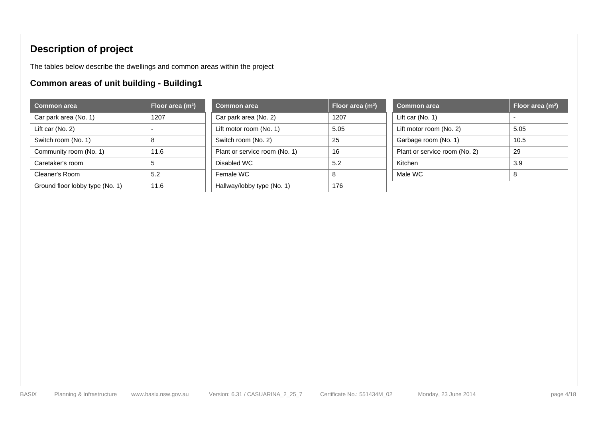# **Description of project**

The tables below describe the dwellings and common areas within the project

# **Common areas of unit building - Building1**

| <b>Common area</b>              | Floor area (m <sup>2</sup> ) | <b>Common area</b>            | <b>Flo</b> |
|---------------------------------|------------------------------|-------------------------------|------------|
| Car park area (No. 1)           | 1207                         | Car park area (No. 2)         | 120        |
| Lift car $(No. 2)$              |                              | Lift motor room (No. 1)       | 5.05       |
| Switch room (No. 1)             | 8                            | Switch room (No. 2)           | 25         |
| Community room (No. 1)          | 11.6                         | Plant or service room (No. 1) | 16         |
| Caretaker's room                | 5                            | Disabled WC                   | 5.2        |
| Cleaner's Room                  | 5.2                          | Female WC                     | 8          |
| Ground floor lobby type (No. 1) | 11.6                         | Hallway/lobby type (No. 1)    | 176        |

| <b>Common area</b>              | Floor area (m <sup>2</sup> ) | <b>Common area</b>            | Floor area (m <sup>2</sup> ) | <b>Common area</b>            | Floor area (m <sup>2</sup> ) |
|---------------------------------|------------------------------|-------------------------------|------------------------------|-------------------------------|------------------------------|
| Car park area (No. 1)           | 1207                         | Car park area (No. 2)         | 1207                         | Lift car $(No. 1)$            |                              |
| Lift car (No. 2)                | -                            | Lift motor room (No. 1)       | 5.05                         | Lift motor room (No. 2)       | 5.05                         |
| Switch room (No. 1)             | 8                            | Switch room (No. 2)           | 25                           | Garbage room (No. 1)          | 10.5                         |
| Community room (No. 1)          | 11.6                         | Plant or service room (No. 1) | 16                           | Plant or service room (No. 2) | 29                           |
| Caretaker's room                | 5                            | Disabled WC                   | 5.2                          | Kitchen                       | 3.9                          |
| Cleaner's Room                  | 5.2                          | Female WC                     | 8                            | Male WC                       |                              |
| Ground floor lobby type (No. 1) | 11.6                         | Hallway/lobby type (No. 1)    | 176                          |                               |                              |

| <b>Common area</b>            | Floor area (m <sup>2</sup> ) |
|-------------------------------|------------------------------|
| Lift car $(No. 1)$            |                              |
| Lift motor room (No. 2)       | 5.05                         |
| Garbage room (No. 1)          | 10.5                         |
| Plant or service room (No. 2) | 29                           |
| Kitchen                       | 3.9                          |
| Male WC                       | 8                            |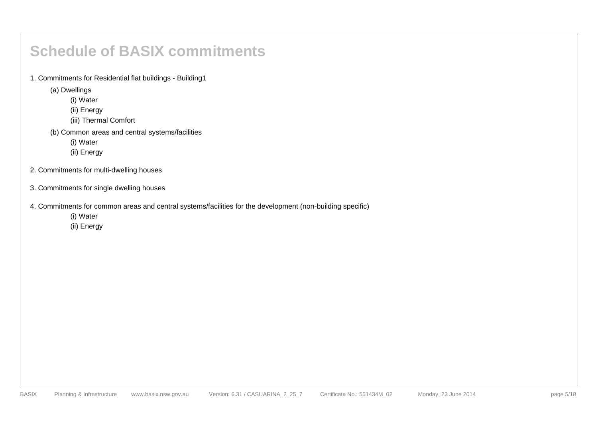# **Schedule of BASIX commitments**

1. Commitments for Residential flat buildings - Building1

(a) Dwellings

(i) Water

(ii) Energy

(iii) Thermal Comfort

(b) Common areas and central systems/facilities

(i) Water

(ii) Energy

2. Commitments for multi-dwelling houses

3. Commitments for single dwelling houses

4. Commitments for common areas and central systems/facilities for the development (non-building specific)

(i) Water

(ii) Energy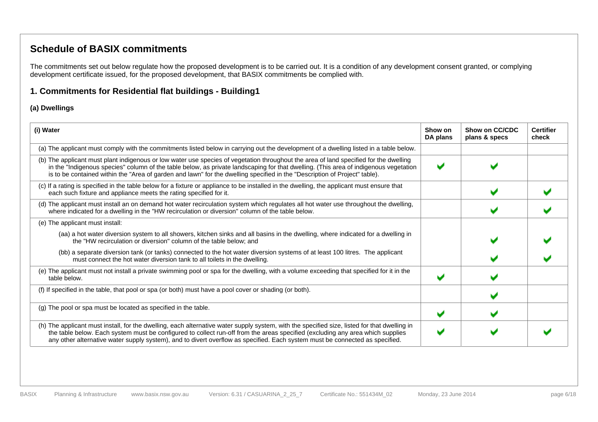### **Schedule of BASIX commitments**

The commitments set out below regulate how the proposed development is to be carried out. It is a condition of any development consent granted, or complying development certificate issued, for the proposed development, that BASIX commitments be complied with.

### **1. Commitments for Residential flat buildings - Building1**

#### **(a) Dwellings**

| (i) Water                                                                                                                                                                                                                                                                                                                                                                                                      | Show on<br>DA plans | Show on CC/CDC<br>plans & specs | <b>Certifier</b><br>check |
|----------------------------------------------------------------------------------------------------------------------------------------------------------------------------------------------------------------------------------------------------------------------------------------------------------------------------------------------------------------------------------------------------------------|---------------------|---------------------------------|---------------------------|
| (a) The applicant must comply with the commitments listed below in carrying out the development of a dwelling listed in a table below.                                                                                                                                                                                                                                                                         |                     |                                 |                           |
| (b) The applicant must plant indigenous or low water use species of vegetation throughout the area of land specified for the dwelling<br>in the "Indigenous species" column of the table below, as private landscaping for that dwelling. (This area of indigenous vegetation<br>is to be contained within the "Area of garden and lawn" for the dwelling specified in the "Description of Project" table).    |                     |                                 |                           |
| (c) If a rating is specified in the table below for a fixture or appliance to be installed in the dwelling, the applicant must ensure that<br>each such fixture and appliance meets the rating specified for it.                                                                                                                                                                                               |                     |                                 |                           |
| (d) The applicant must install an on demand hot water recirculation system which regulates all hot water use throughout the dwelling,<br>where indicated for a dwelling in the "HW recirculation or diversion" column of the table below.                                                                                                                                                                      |                     |                                 |                           |
| (e) The applicant must install:                                                                                                                                                                                                                                                                                                                                                                                |                     |                                 |                           |
| (aa) a hot water diversion system to all showers, kitchen sinks and all basins in the dwelling, where indicated for a dwelling in<br>the "HW recirculation or diversion" column of the table below; and                                                                                                                                                                                                        |                     |                                 |                           |
| (bb) a separate diversion tank (or tanks) connected to the hot water diversion systems of at least 100 litres. The applicant<br>must connect the hot water diversion tank to all toilets in the dwelling.                                                                                                                                                                                                      |                     |                                 |                           |
| (e) The applicant must not install a private swimming pool or spa for the dwelling, with a volume exceeding that specified for it in the<br>table below.                                                                                                                                                                                                                                                       |                     |                                 |                           |
| (f) If specified in the table, that pool or spa (or both) must have a pool cover or shading (or both).                                                                                                                                                                                                                                                                                                         |                     |                                 |                           |
| (g) The pool or spa must be located as specified in the table.                                                                                                                                                                                                                                                                                                                                                 |                     |                                 |                           |
| (h) The applicant must install, for the dwelling, each alternative water supply system, with the specified size, listed for that dwelling in<br>the table below. Each system must be configured to collect run-off from the areas specified (excluding any area which supplies<br>any other alternative water supply system), and to divert overflow as specified. Each system must be connected as specified. |                     |                                 |                           |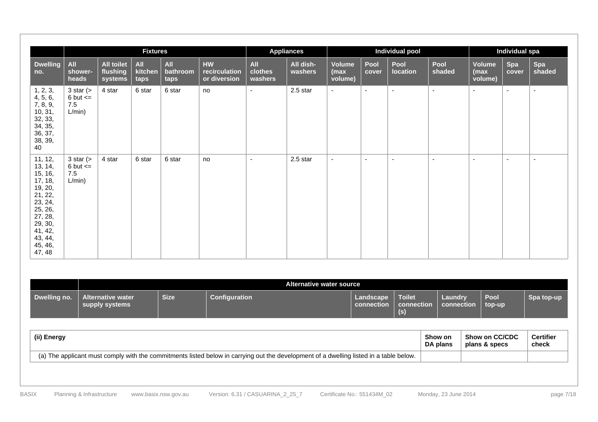|                                                                                                                                                       |                                                        |                                          | <b>Fixtures</b>               |                         |                                            |                           | <b>Appliances</b>    |                           |               | Individual pool          |                |                                   | Individual spa      |               |
|-------------------------------------------------------------------------------------------------------------------------------------------------------|--------------------------------------------------------|------------------------------------------|-------------------------------|-------------------------|--------------------------------------------|---------------------------|----------------------|---------------------------|---------------|--------------------------|----------------|-----------------------------------|---------------------|---------------|
| <b>Dwelling</b><br>no.                                                                                                                                | All<br>shower-<br>heads                                | <b>All toilet</b><br>flushing<br>systems | <b>All</b><br>kitchen<br>taps | All<br>bathroom<br>taps | <b>HW</b><br>recirculation<br>or diversion | All<br>clothes<br>washers | All dish-<br>washers | Volume<br>(max<br>volume) | Pool<br>cover | Pool<br><b>location</b>  | Pool<br>shaded | <b>Volume</b><br>(max)<br>volume) | <b>Spa</b><br>cover | Spa<br>shaded |
| 1, 2, 3,<br>4, 5, 6,<br>7, 8, 9,<br>10, 31,<br>32, 33,<br>34, 35,<br>36, 37,<br>38, 39,<br>40                                                         | $3 \text{ star}$ (><br>$6$ but $\leq$<br>7.5<br>L/min) | 4 star                                   | 6 star                        | 6 star                  | no                                         | $\sim$                    | 2.5 star             | $\sim$                    | $\sim$        | $\sim$                   | $\sim$         | $\sim$                            | $\sim$              | $\sim$        |
| 11, 12,<br>13, 14,<br>15, 16,<br>17, 18,<br>19, 20,<br>21, 22,<br>23, 24,<br>25, 26,<br>27, 28,<br>29, 30,<br>41, 42,<br>43, 44,<br>45, 46,<br>47, 48 | 3 star $($<br>6 but $\leq$<br>7.5<br>L/min)            | 4 star                                   | 6 star                        | 6 star                  | no                                         | $\sim$                    | 2.5 star             | $\sim$                    | $\sim$        | $\overline{\phantom{a}}$ | $\sim$         | $\sim$                            | $\sim$              | $\sim$        |

|              |                                     | Alternative water source |               |                         |                             |                       |                |            |  |  |  |
|--------------|-------------------------------------|--------------------------|---------------|-------------------------|-----------------------------|-----------------------|----------------|------------|--|--|--|
| Dwelling no. | Alternative water<br>supply systems | <b>Size</b>              | Configuration | Landscape<br>connection | Toilet<br>connection<br>(s) | Laundry<br>connection | Pool<br>top-up | Spa top-up |  |  |  |

| (ii) Energy                                                                                                                               | Show on  | Show on CC/CDC | <b>Certifier</b> |
|-------------------------------------------------------------------------------------------------------------------------------------------|----------|----------------|------------------|
|                                                                                                                                           | DA plans | plans & specs  | check            |
| The applicant must comply with the commitments listed below in carrying out the development of a dwelling listed in a table below.<br>(a) |          |                |                  |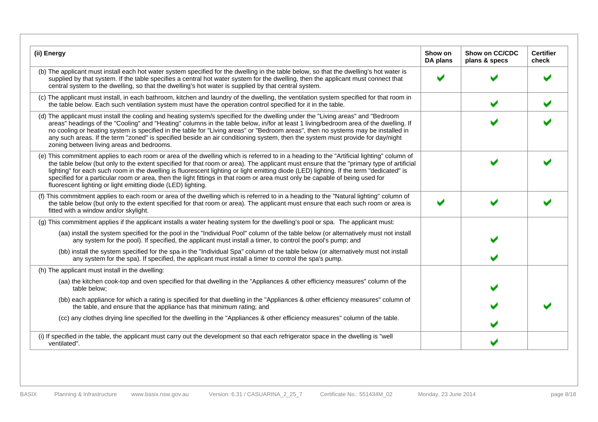| (ii) Energy                                                                                                                                                                                                                                                                                                                                                                                                                                                                                                                                                                                                                      | Show on<br>DA plans | Show on CC/CDC<br>plans & specs | <b>Certifier</b><br>check |
|----------------------------------------------------------------------------------------------------------------------------------------------------------------------------------------------------------------------------------------------------------------------------------------------------------------------------------------------------------------------------------------------------------------------------------------------------------------------------------------------------------------------------------------------------------------------------------------------------------------------------------|---------------------|---------------------------------|---------------------------|
| (b) The applicant must install each hot water system specified for the dwelling in the table below, so that the dwelling's hot water is<br>supplied by that system. If the table specifies a central hot water system for the dwelling, then the applicant must connect that<br>central system to the dwelling, so that the dwelling's hot water is supplied by that central system.                                                                                                                                                                                                                                             |                     |                                 |                           |
| (c) The applicant must install, in each bathroom, kitchen and laundry of the dwelling, the ventilation system specified for that room in<br>the table below. Each such ventilation system must have the operation control specified for it in the table.                                                                                                                                                                                                                                                                                                                                                                         |                     |                                 |                           |
| (d) The applicant must install the cooling and heating system/s specified for the dwelling under the "Living areas" and "Bedroom<br>areas" headings of the "Cooling" and "Heating" columns in the table below, in/for at least 1 living/bedroom area of the dwelling. If<br>no cooling or heating system is specified in the table for "Living areas" or "Bedroom areas", then no systems may be installed in<br>any such areas. If the term "zoned" is specified beside an air conditioning system, then the system must provide for day/night<br>zoning between living areas and bedrooms.                                     |                     |                                 |                           |
| (e) This commitment applies to each room or area of the dwelling which is referred to in a heading to the "Artificial lighting" column of<br>the table below (but only to the extent specified for that room or area). The applicant must ensure that the "primary type of artificial<br>lighting" for each such room in the dwelling is fluorescent lighting or light emitting diode (LED) lighting. If the term "dedicated" is<br>specified for a particular room or area, then the light fittings in that room or area must only be capable of being used for<br>fluorescent lighting or light emitting diode (LED) lighting. |                     |                                 |                           |
| (f) This commitment applies to each room or area of the dwelling which is referred to in a heading to the "Natural lighting" column of<br>the table below (but only to the extent specified for that room or area). The applicant must ensure that each such room or area is<br>fitted with a window and/or skylight.                                                                                                                                                                                                                                                                                                            |                     |                                 |                           |
| (g) This commitment applies if the applicant installs a water heating system for the dwelling's pool or spa. The applicant must:                                                                                                                                                                                                                                                                                                                                                                                                                                                                                                 |                     |                                 |                           |
| (aa) install the system specified for the pool in the "Individual Pool" column of the table below (or alternatively must not install<br>any system for the pool). If specified, the applicant must install a timer, to control the pool's pump; and                                                                                                                                                                                                                                                                                                                                                                              |                     |                                 |                           |
| (bb) install the system specified for the spa in the "Individual Spa" column of the table below (or alternatively must not install<br>any system for the spa). If specified, the applicant must install a timer to control the spa's pump.                                                                                                                                                                                                                                                                                                                                                                                       |                     |                                 |                           |
| (h) The applicant must install in the dwelling:                                                                                                                                                                                                                                                                                                                                                                                                                                                                                                                                                                                  |                     |                                 |                           |
| (aa) the kitchen cook-top and oven specified for that dwelling in the "Appliances & other efficiency measures" column of the<br>table below;                                                                                                                                                                                                                                                                                                                                                                                                                                                                                     |                     |                                 |                           |
| (bb) each appliance for which a rating is specified for that dwelling in the "Appliances & other efficiency measures" column of<br>the table, and ensure that the appliance has that minimum rating; and                                                                                                                                                                                                                                                                                                                                                                                                                         |                     |                                 |                           |
| (cc) any clothes drying line specified for the dwelling in the "Appliances & other efficiency measures" column of the table.                                                                                                                                                                                                                                                                                                                                                                                                                                                                                                     |                     |                                 |                           |
| (i) If specified in the table, the applicant must carry out the development so that each refrigerator space in the dwelling is "well<br>ventilated".                                                                                                                                                                                                                                                                                                                                                                                                                                                                             |                     |                                 |                           |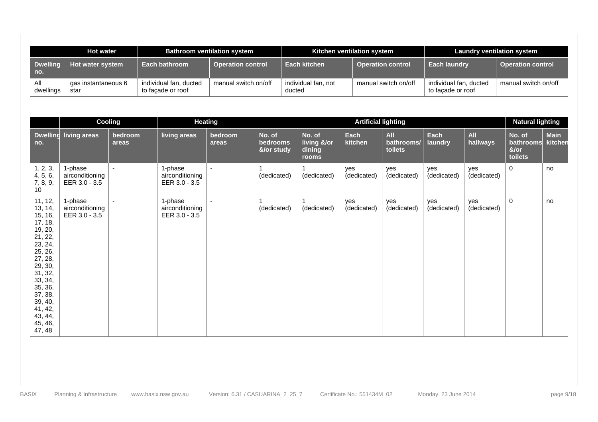|                        | <b>Hot water</b>            |                                             | <b>Bathroom ventilation system</b> |                               | Kitchen ventilation system | <b>Laundry ventilation system</b>           |                          |  |
|------------------------|-----------------------------|---------------------------------------------|------------------------------------|-------------------------------|----------------------------|---------------------------------------------|--------------------------|--|
| <b>Dwelling</b><br>no. | Hot water system            | Each bathroom                               | <b>Operation control</b>           | Each kitchen                  | <b>Operation control</b>   | <b>Each laundry</b>                         | <b>Operation control</b> |  |
| Αll<br>dwellings       | gas instantaneous 6<br>star | individual fan, ducted<br>to facade or roof | manual switch on/off               | individual fan, not<br>ducted | manual switch on/off       | individual fan, ducted<br>to facade or roof | manual switch on/off     |  |

|                                                                                                                                                                                                              |                                             | Cooling                  |                                             | <b>Heating</b>   | <b>Artificial lighting</b>       |                                          |                    |                                     |                    |                        | <b>Natural lighting</b>                       |                        |
|--------------------------------------------------------------------------------------------------------------------------------------------------------------------------------------------------------------|---------------------------------------------|--------------------------|---------------------------------------------|------------------|----------------------------------|------------------------------------------|--------------------|-------------------------------------|--------------------|------------------------|-----------------------------------------------|------------------------|
| no.                                                                                                                                                                                                          | Dwelling living areas                       | bedroom<br>areas         | living areas                                | bedroom<br>areas | No. of<br>bedrooms<br>&/or study | No. of<br>living &/or<br>dining<br>rooms | Each<br>kitchen    | <b>All</b><br>bathrooms/<br>toilets | Each<br>laundry    | <b>All</b><br>hallways | No. of<br><b>bathrooms</b><br>&/or<br>toilets | <b>Main</b><br>kitchen |
| 1, 2, 3,<br>4, 5, 6,<br>7, 8, 9,<br>10 <sup>°</sup>                                                                                                                                                          | 1-phase<br>airconditioning<br>EER 3.0 - 3.5 | $\overline{\phantom{a}}$ | 1-phase<br>airconditioning<br>EER 3.0 - 3.5 | $\sim$           | (dedicated)                      | (dedicated)                              | yes<br>(dedicated) | yes<br>(dedicated)                  | yes<br>(dedicated) | yes<br>(dedicated)     | $\mathbf 0$                                   | no                     |
| 11, 12,<br>13, 14,<br>15, 16,<br>17, 18,<br>19, 20,<br>21, 22,<br>23, 24,<br>25, 26,<br>27, 28,<br>29, 30,<br>31, 32,<br>33, 34,<br>35, 36,<br>37, 38,<br>39, 40,<br>41, 42,<br>43, 44,<br>45, 46,<br>47, 48 | 1-phase<br>airconditioning<br>EER 3.0 - 3.5 | $\sim$                   | 1-phase<br>airconditioning<br>EER 3.0 - 3.5 | $\blacksquare$   | (dedicated)                      | (dedicated)                              | yes<br>(dedicated) | yes<br>(dedicated)                  | yes<br>(dedicated) | yes<br>(dedicated)     | $\mathbf 0$                                   | no                     |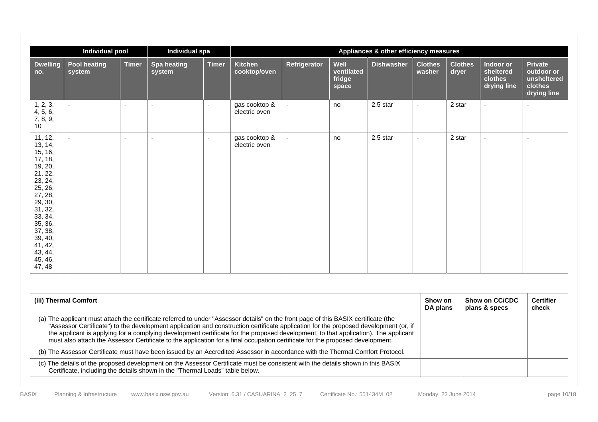|                                                                                                                                                                                                              | Individual pool               |                          | Individual spa               |                |                                |                |                                       | Appliances & other efficiency measures |                          |                         |                                                  |                                                                |
|--------------------------------------------------------------------------------------------------------------------------------------------------------------------------------------------------------------|-------------------------------|--------------------------|------------------------------|----------------|--------------------------------|----------------|---------------------------------------|----------------------------------------|--------------------------|-------------------------|--------------------------------------------------|----------------------------------------------------------------|
| <b>Dwelling</b><br>no.                                                                                                                                                                                       | <b>Pool heating</b><br>system | <b>Timer</b>             | <b>Spa heating</b><br>system | <b>Timer</b>   | <b>Kitchen</b><br>cooktop/oven | Refrigerator   | Well<br>ventilated<br>fridge<br>space | <b>Dishwasher</b>                      | <b>Clothes</b><br>washer | <b>Clothes</b><br>dryer | Indoor or<br>sheltered<br>clothes<br>drying line | Private<br>outdoor or<br>unsheltered<br>clothes<br>drying line |
| 1, 2, 3,<br>4, 5, 6,<br>7, 8, 9,<br>10                                                                                                                                                                       | $\sim$                        | $\sim$                   | $\sim$                       | $\sim$         | gas cooktop &<br>electric oven | $\blacksquare$ | no                                    | 2.5 star                               | $\sim$                   | 2 star                  | $\mathbf{r}$                                     | $\sim$                                                         |
| 11, 12,<br>13, 14,<br>15, 16,<br>17, 18,<br>19, 20,<br>21, 22,<br>23, 24,<br>25, 26,<br>27, 28,<br>29, 30,<br>31, 32,<br>33, 34,<br>35, 36,<br>37, 38,<br>39, 40,<br>41, 42,<br>43, 44,<br>45, 46,<br>47, 48 | $\sim$                        | $\overline{\phantom{a}}$ | $\sim$                       | $\blacksquare$ | gas cooktop &<br>electric oven | $\blacksquare$ | no                                    | 2.5 star                               | $\sim$                   | 2 star                  | $\mathbf{r}$                                     | $\blacksquare$                                                 |

| (iii) Thermal Comfort                                                                                                                                                                                                                                                                                                                                                                                                                                                                                                                               | Show on<br>DA plans | Show on CC/CDC<br>plans & specs | <b>Certifier</b><br>check |
|-----------------------------------------------------------------------------------------------------------------------------------------------------------------------------------------------------------------------------------------------------------------------------------------------------------------------------------------------------------------------------------------------------------------------------------------------------------------------------------------------------------------------------------------------------|---------------------|---------------------------------|---------------------------|
| (a) The applicant must attach the certificate referred to under "Assessor details" on the front page of this BASIX certificate (the<br>"Assessor Certificate") to the development application and construction certificate application for the proposed development (or, if<br>the applicant is applying for a complying development certificate for the proposed development, to that application). The applicant<br>must also attach the Assessor Certificate to the application for a final occupation certificate for the proposed development. |                     |                                 |                           |
| (b) The Assessor Certificate must have been issued by an Accredited Assessor in accordance with the Thermal Comfort Protocol.                                                                                                                                                                                                                                                                                                                                                                                                                       |                     |                                 |                           |
| (c) The details of the proposed development on the Assessor Certificate must be consistent with the details shown in this BASIX<br>Certificate, including the details shown in the "Thermal Loads" table below.                                                                                                                                                                                                                                                                                                                                     |                     |                                 |                           |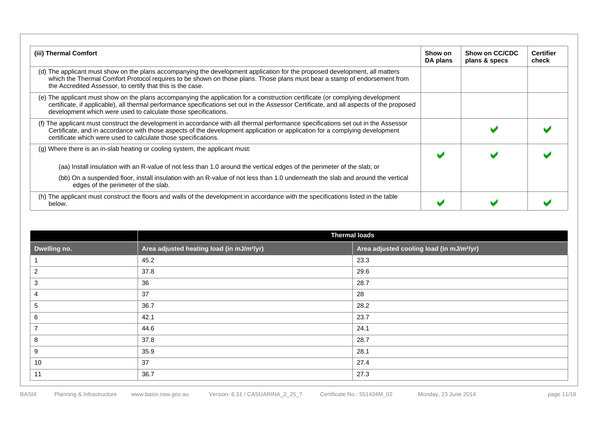| (iii) Thermal Comfort                                                                                                                                                                                                                                                                                                                        | Show on<br>DA plans | Show on CC/CDC<br>plans & specs | <b>Certifier</b><br>check |
|----------------------------------------------------------------------------------------------------------------------------------------------------------------------------------------------------------------------------------------------------------------------------------------------------------------------------------------------|---------------------|---------------------------------|---------------------------|
| (d) The applicant must show on the plans accompanying the development application for the proposed development, all matters<br>which the Thermal Comfort Protocol requires to be shown on those plans. Those plans must bear a stamp of endorsement from<br>the Accredited Assessor, to certify that this is the case.                       |                     |                                 |                           |
| (e) The applicant must show on the plans accompanying the application for a construction certificate (or complying development<br>certificate, if applicable), all thermal performance specifications set out in the Assessor Certificate, and all aspects of the proposed<br>development which were used to calculate those specifications. |                     |                                 |                           |
| (f) The applicant must construct the development in accordance with all thermal performance specifications set out in the Assessor<br>Certificate, and in accordance with those aspects of the development application or application for a complying development<br>certificate which were used to calculate those specifications.          |                     |                                 |                           |
| (g) Where there is an in-slab heating or cooling system, the applicant must:                                                                                                                                                                                                                                                                 |                     |                                 |                           |
| (aa) Install insulation with an R-value of not less than 1.0 around the vertical edges of the perimeter of the slab; or                                                                                                                                                                                                                      |                     |                                 |                           |
| (bb) On a suspended floor, install insulation with an R-value of not less than 1.0 underneath the slab and around the vertical<br>edges of the perimeter of the slab.                                                                                                                                                                        |                     |                                 |                           |
| (h) The applicant must construct the floors and walls of the development in accordance with the specifications listed in the table<br>below.                                                                                                                                                                                                 |                     |                                 |                           |

|              | <b>Thermal loads</b>                                  |                                                       |  |  |  |  |
|--------------|-------------------------------------------------------|-------------------------------------------------------|--|--|--|--|
| Dwelling no. | Area adjusted heating load (in mJ/m <sup>2</sup> /yr) | Area adjusted cooling load (in mJ/m <sup>2</sup> /yr) |  |  |  |  |
|              | 45.2                                                  | 23.3                                                  |  |  |  |  |
| 2            | 37.8                                                  | 29.6                                                  |  |  |  |  |
| 3            | 36                                                    | 28.7                                                  |  |  |  |  |
| 4            | 37                                                    | 28                                                    |  |  |  |  |
| 5            | 36.7                                                  | 28.2                                                  |  |  |  |  |
| 6            | 42.1                                                  | 23.7                                                  |  |  |  |  |
| 7            | 44.6                                                  | 24.1                                                  |  |  |  |  |
| 8            | 37.8                                                  | 28.7                                                  |  |  |  |  |
| 9            | 35.9                                                  | 28.1                                                  |  |  |  |  |
| 10           | 37                                                    | 27.4                                                  |  |  |  |  |
| 11           | 36.7                                                  | 27.3                                                  |  |  |  |  |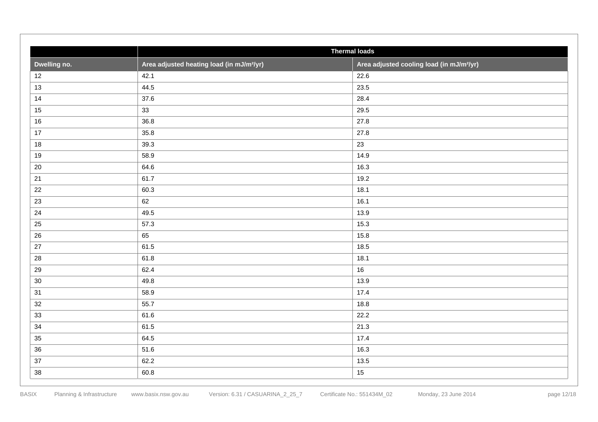|                 |                                                       | <b>Thermal loads</b>                                  |  |  |  |  |  |  |
|-----------------|-------------------------------------------------------|-------------------------------------------------------|--|--|--|--|--|--|
| Dwelling no.    | Area adjusted heating load (in mJ/m <sup>2</sup> /yr) | Area adjusted cooling load (in mJ/m <sup>2</sup> /yr) |  |  |  |  |  |  |
| 12              | 42.1                                                  | 22.6                                                  |  |  |  |  |  |  |
| 13              | 44.5                                                  | 23.5                                                  |  |  |  |  |  |  |
| 14              | 37.6                                                  | 28.4                                                  |  |  |  |  |  |  |
| 15              | 33                                                    | 29.5                                                  |  |  |  |  |  |  |
| 16              | 36.8                                                  | 27.8                                                  |  |  |  |  |  |  |
| 17              | 35.8                                                  | 27.8                                                  |  |  |  |  |  |  |
| 18              | 39.3                                                  | 23                                                    |  |  |  |  |  |  |
| 19              | 58.9                                                  | 14.9                                                  |  |  |  |  |  |  |
| 20              | 64.6                                                  | 16.3                                                  |  |  |  |  |  |  |
| 21              | 61.7                                                  | 19.2                                                  |  |  |  |  |  |  |
| 22              | 60.3                                                  | 18.1                                                  |  |  |  |  |  |  |
| 23              | 62                                                    | 16.1                                                  |  |  |  |  |  |  |
| 24              | 49.5                                                  | 13.9                                                  |  |  |  |  |  |  |
| 25              | 57.3                                                  | 15.3                                                  |  |  |  |  |  |  |
| 26              | 65                                                    | 15.8                                                  |  |  |  |  |  |  |
| 27              | 61.5                                                  | 18.5                                                  |  |  |  |  |  |  |
| 28              | 61.8                                                  | 18.1                                                  |  |  |  |  |  |  |
| 29              | 62.4                                                  | 16                                                    |  |  |  |  |  |  |
| 30 <sup>°</sup> | 49.8                                                  | 13.9                                                  |  |  |  |  |  |  |
| 31              | 58.9                                                  | 17.4                                                  |  |  |  |  |  |  |
| 32              | 55.7                                                  | 18.8                                                  |  |  |  |  |  |  |
| 33              | 61.6                                                  | 22.2                                                  |  |  |  |  |  |  |
| 34              | 61.5                                                  | 21.3                                                  |  |  |  |  |  |  |
| 35              | 64.5                                                  | 17.4                                                  |  |  |  |  |  |  |
| 36              | 51.6                                                  | 16.3                                                  |  |  |  |  |  |  |
| 37              | 62.2                                                  | 13.5                                                  |  |  |  |  |  |  |
| 38              | 60.8                                                  | 15                                                    |  |  |  |  |  |  |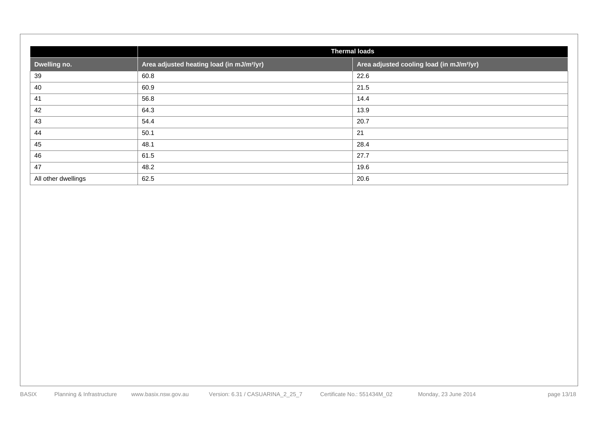| <b>Thermal loads</b> |                                                       |                                                       |  |  |  |
|----------------------|-------------------------------------------------------|-------------------------------------------------------|--|--|--|
| Dwelling no.         | Area adjusted heating load (in mJ/m <sup>2</sup> /yr) | Area adjusted cooling load (in mJ/m <sup>2</sup> /yr) |  |  |  |
| 39                   | 60.8                                                  | 22.6                                                  |  |  |  |
| 40                   | 60.9                                                  | 21.5                                                  |  |  |  |
| 41                   | 56.8                                                  | 14.4                                                  |  |  |  |
| 42                   | 64.3                                                  | 13.9                                                  |  |  |  |
| 43                   | 54.4                                                  | 20.7                                                  |  |  |  |
| 44                   | 50.1                                                  | 21                                                    |  |  |  |
| 45                   | 48.1                                                  | 28.4                                                  |  |  |  |
| 46                   | 61.5                                                  | 27.7                                                  |  |  |  |
| 47                   | 48.2                                                  | 19.6                                                  |  |  |  |
| All other dwellings  | 62.5                                                  | 20.6                                                  |  |  |  |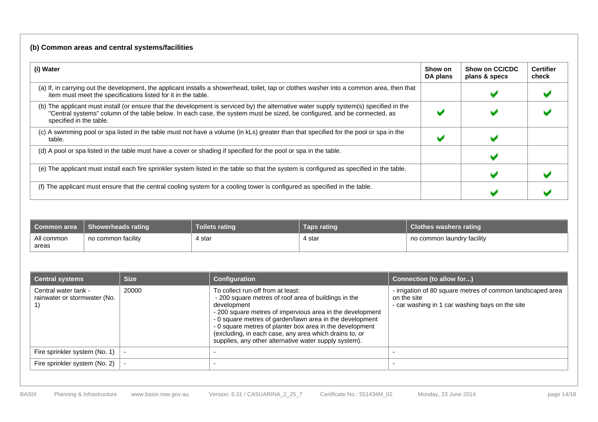### **(b) Common areas and central systems/facilities**

| (i) Water                                                                                                                                                                                                                                                                                     | Show on<br>DA plans | Show on CC/CDC<br>plans & specs | <b>Certifier</b><br>check |
|-----------------------------------------------------------------------------------------------------------------------------------------------------------------------------------------------------------------------------------------------------------------------------------------------|---------------------|---------------------------------|---------------------------|
| (a) If, in carrying out the development, the applicant installs a showerhead, toilet, tap or clothes washer into a common area, then that<br>item must meet the specifications listed for it in the table.                                                                                    |                     |                                 |                           |
| (b) The applicant must install (or ensure that the development is serviced by) the alternative water supply system(s) specified in the<br>"Central systems" column of the table below. In each case, the system must be sized, be configured, and be connected, as<br>specified in the table. |                     |                                 |                           |
| (c) A swimming pool or spa listed in the table must not have a volume (in kLs) greater than that specified for the pool or spa in the<br>table.                                                                                                                                               |                     |                                 |                           |
| (d) A pool or spa listed in the table must have a cover or shading if specified for the pool or spa in the table.                                                                                                                                                                             |                     |                                 |                           |
| (e) The applicant must install each fire sprinkler system listed in the table so that the system is configured as specified in the table.                                                                                                                                                     |                     |                                 |                           |
| (f) The applicant must ensure that the central cooling system for a cooling tower is configured as specified in the table.                                                                                                                                                                    |                     |                                 |                           |

| Common area         | <b>Showerheads rating</b> | <b>Toilets rating</b>                         | Taps rating | <b>Clothes washers rating</b> |
|---------------------|---------------------------|-----------------------------------------------|-------------|-------------------------------|
| All common<br>areas | no common facility        | 4 star<br>the contract of the contract of the | 4 star      | no common laundry facility    |

| <b>Central systems</b>                               | <b>Size</b> | Configuration                                                                                                                                                                                                                                                                                                                                                                                                    | <b>Connection (to allow for)</b>                                                                                             |
|------------------------------------------------------|-------------|------------------------------------------------------------------------------------------------------------------------------------------------------------------------------------------------------------------------------------------------------------------------------------------------------------------------------------------------------------------------------------------------------------------|------------------------------------------------------------------------------------------------------------------------------|
| Central water tank -<br>rainwater or stormwater (No. | 20000       | To collect run-off from at least:<br>- 200 square metres of roof area of buildings in the<br>development<br>- 200 square metres of impervious area in the development<br>- 0 square metres of garden/lawn area in the development<br>- 0 square metres of planter box area in the development<br>(excluding, in each case, any area which drains to, or<br>supplies, any other alternative water supply system). | - irrigation of 80 square metres of common landscaped area<br>on the site<br>- car washing in 1 car washing bays on the site |
| Fire sprinkler system (No. 1)                        |             |                                                                                                                                                                                                                                                                                                                                                                                                                  |                                                                                                                              |
| Fire sprinkler system (No. 2)                        |             |                                                                                                                                                                                                                                                                                                                                                                                                                  |                                                                                                                              |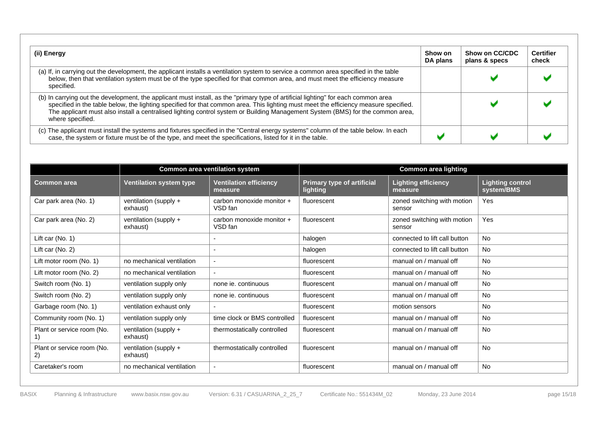| (ii) Energy                                                                                                                                                                                                                                                                                                                                                                                                                      | Show on<br>DA plans | Show on CC/CDC<br>plans & specs | <b>Certifier</b><br>check |
|----------------------------------------------------------------------------------------------------------------------------------------------------------------------------------------------------------------------------------------------------------------------------------------------------------------------------------------------------------------------------------------------------------------------------------|---------------------|---------------------------------|---------------------------|
| (a) If, in carrying out the development, the applicant installs a ventilation system to service a common area specified in the table<br>below, then that ventilation system must be of the type specified for that common area, and must meet the efficiency measure<br>specified.                                                                                                                                               |                     |                                 |                           |
| (b) In carrying out the development, the applicant must install, as the "primary type of artificial lighting" for each common area<br>specified in the table below, the lighting specified for that common area. This lighting must meet the efficiency measure specified.<br>The applicant must also install a centralised lighting control system or Building Management System (BMS) for the common area,<br>where specified. |                     |                                 |                           |
| (c) The applicant must install the systems and fixtures specified in the "Central energy systems" column of the table below. In each<br>case, the system or fixture must be of the type, and meet the specifications, listed for it in the table.                                                                                                                                                                                |                     |                                 |                           |

|                                  |                                   | <b>Common area ventilation system</b>    |                                                      | <b>Common area lighting</b>           |                                       |
|----------------------------------|-----------------------------------|------------------------------------------|------------------------------------------------------|---------------------------------------|---------------------------------------|
| <b>Common area</b>               | <b>Ventilation system type</b>    | <b>Ventilation efficiency</b><br>measure | <b>Primary type of artificial</b><br><b>lighting</b> | <b>Lighting efficiency</b><br>measure | <b>Lighting control</b><br>system/BMS |
| Car park area (No. 1)            | ventilation (supply +<br>exhaust) | carbon monoxide monitor +<br>VSD fan     | fluorescent                                          | zoned switching with motion<br>sensor | Yes                                   |
| Car park area (No. 2)            | ventilation (supply +<br>exhaust) | carbon monoxide monitor +<br>VSD fan     | fluorescent                                          | zoned switching with motion<br>sensor | Yes                                   |
| Lift car $(No. 1)$               |                                   | $\overline{\phantom{a}}$                 | halogen                                              | connected to lift call button         | <b>No</b>                             |
| Lift car $(No. 2)$               |                                   | $\overline{\phantom{a}}$                 | halogen                                              | connected to lift call button         | <b>No</b>                             |
| Lift motor room (No. 1)          | no mechanical ventilation         | $\overline{\phantom{a}}$                 | fluorescent                                          | manual on / manual off                | No.                                   |
| Lift motor room (No. 2)          | no mechanical ventilation         | $\overline{\phantom{a}}$                 | fluorescent                                          | manual on / manual off                | <b>No</b>                             |
| Switch room (No. 1)              | ventilation supply only           | none ie. continuous                      | fluorescent                                          | manual on / manual off                | No.                                   |
| Switch room (No. 2)              | ventilation supply only           | none ie. continuous                      | fluorescent                                          | manual on / manual off                | <b>No</b>                             |
| Garbage room (No. 1)             | ventilation exhaust only          | $\overline{\phantom{a}}$                 | fluorescent                                          | motion sensors                        | <b>No</b>                             |
| Community room (No. 1)           | ventilation supply only           | time clock or BMS controlled             | fluorescent                                          | manual on / manual off                | No.                                   |
| Plant or service room (No.       | ventilation (supply +<br>exhaust) | thermostatically controlled              | fluorescent                                          | manual on / manual off                | No.                                   |
| Plant or service room (No.<br>2) | ventilation (supply +<br>exhaust) | thermostatically controlled              | fluorescent                                          | manual on / manual off                | <b>No</b>                             |
| Caretaker's room                 | no mechanical ventilation         | $\overline{\phantom{a}}$                 | fluorescent                                          | manual on / manual off                | <b>No</b>                             |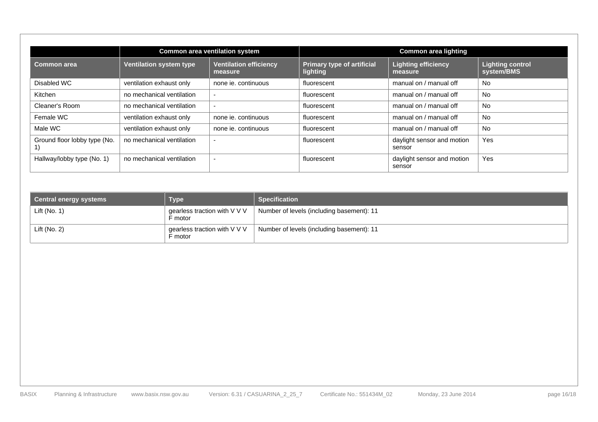|                              |                                | <b>Common area ventilation system</b>    |                                               | <b>Common area lighting</b>           |                                       |
|------------------------------|--------------------------------|------------------------------------------|-----------------------------------------------|---------------------------------------|---------------------------------------|
| Common area                  | <b>Ventilation system type</b> | <b>Ventilation efficiency</b><br>measure | <b>Primary type of artificial</b><br>lighting | <b>Lighting efficiency</b><br>measure | <b>Lighting control</b><br>system/BMS |
| Disabled WC                  | ventilation exhaust only       | none ie, continuous                      | fluorescent                                   | manual on / manual off                | <b>No</b>                             |
| Kitchen                      | no mechanical ventilation      | -                                        | fluorescent                                   | manual on / manual off                | <b>No</b>                             |
| Cleaner's Room               | no mechanical ventilation      | $\overline{\phantom{a}}$                 | fluorescent                                   | manual on / manual off                | No                                    |
| Female WC                    | ventilation exhaust only       | none ie. continuous                      | fluorescent                                   | manual on / manual off                | No                                    |
| Male WC                      | ventilation exhaust only       | none je, continuous                      | fluorescent                                   | manual on / manual off                | No                                    |
| Ground floor lobby type (No. | no mechanical ventilation      | $\overline{\phantom{0}}$                 | fluorescent                                   | daylight sensor and motion<br>sensor  | Yes                                   |
| Hallway/lobby type (No. 1)   | no mechanical ventilation      | $\overline{\phantom{0}}$                 | fluorescent                                   | daylight sensor and motion<br>sensor  | Yes                                   |

| <b>Central energy systems</b> | <b>Type</b>                             | <b>Specification</b>                      |
|-------------------------------|-----------------------------------------|-------------------------------------------|
| Lift (No. $1$ )               | gearless traction with V V V<br>F motor | Number of levels (including basement): 11 |
| Lift (No. $2$ )               | gearless traction with V V V<br>F motor | Number of levels (including basement): 11 |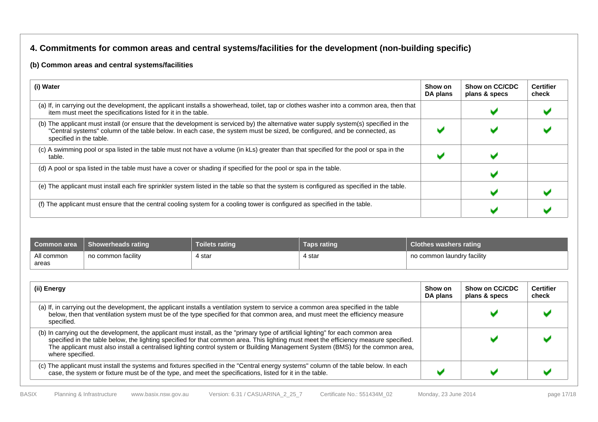### **4. Commitments for common areas and central systems/facilities for the development (non-building specific)**

#### **(b) Common areas and central systems/facilities**

| (i) Water                                                                                                                                                                                                                                                                                     | Show on<br>DA plans | Show on CC/CDC<br>plans & specs | <b>Certifier</b><br>check |
|-----------------------------------------------------------------------------------------------------------------------------------------------------------------------------------------------------------------------------------------------------------------------------------------------|---------------------|---------------------------------|---------------------------|
| (a) If, in carrying out the development, the applicant installs a showerhead, toilet, tap or clothes washer into a common area, then that<br>item must meet the specifications listed for it in the table.                                                                                    |                     |                                 |                           |
| (b) The applicant must install (or ensure that the development is serviced by) the alternative water supply system(s) specified in the<br>"Central systems" column of the table below. In each case, the system must be sized, be configured, and be connected, as<br>specified in the table. |                     |                                 |                           |
| (c) A swimming pool or spa listed in the table must not have a volume (in kLs) greater than that specified for the pool or spa in the<br>table.                                                                                                                                               |                     |                                 |                           |
| (d) A pool or spa listed in the table must have a cover or shading if specified for the pool or spa in the table.                                                                                                                                                                             |                     |                                 |                           |
| (e) The applicant must install each fire sprinkler system listed in the table so that the system is configured as specified in the table.                                                                                                                                                     |                     |                                 |                           |
| (f) The applicant must ensure that the central cooling system for a cooling tower is configured as specified in the table.                                                                                                                                                                    |                     |                                 |                           |

| ∎ Common area       | <b>Showerheads rating</b> | Toilets rating ˈ | Taps rating | <b>Clothes washers rating</b> |
|---------------------|---------------------------|------------------|-------------|-------------------------------|
| All common<br>areas | no common facility        | 4 star           | 4 star      | no common laundry facility    |

| (ii) Energy                                                                                                                                                                                                                                                                                                                                                                                                                      | Show on<br>DA plans | Show on CC/CDC<br>plans & specs | <b>Certifier</b><br>check |
|----------------------------------------------------------------------------------------------------------------------------------------------------------------------------------------------------------------------------------------------------------------------------------------------------------------------------------------------------------------------------------------------------------------------------------|---------------------|---------------------------------|---------------------------|
| (a) If, in carrying out the development, the applicant installs a ventilation system to service a common area specified in the table<br>below, then that ventilation system must be of the type specified for that common area, and must meet the efficiency measure<br>specified.                                                                                                                                               |                     |                                 |                           |
| (b) In carrying out the development, the applicant must install, as the "primary type of artificial lighting" for each common area<br>specified in the table below, the lighting specified for that common area. This lighting must meet the efficiency measure specified.<br>The applicant must also install a centralised lighting control system or Building Management System (BMS) for the common area,<br>where specified. |                     |                                 |                           |
| (c) The applicant must install the systems and fixtures specified in the "Central energy systems" column of the table below. In each<br>case, the system or fixture must be of the type, and meet the specifications, listed for it in the table.                                                                                                                                                                                |                     |                                 |                           |